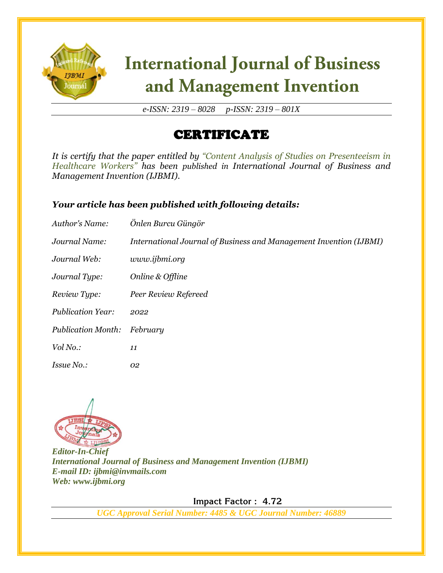

# **International Journal of Business** and Management Invention

*e-ISSN: 2319 – 8028 p-ISSN: 2319 – 801X*

### CERTIFICATE

*It is certify that the paper entitled by "Content Analysis of Studies on Presenteeism in Healthcare Workers" has been published in International Journal of Business and Management Invention (IJBMI).*

#### *Your article has been published with following details:*

| Author's Name:            | Önlen Burcu Güngör                                                 |
|---------------------------|--------------------------------------------------------------------|
| Journal Name:             | International Journal of Business and Management Invention (IJBMI) |
| Journal Web:              | www.ijbmi.org                                                      |
| Journal Type:             | Online & Offline                                                   |
| Review Type:              | Peer Review Refereed                                               |
| <b>Publication Year:</b>  | 2022                                                               |
| <b>Publication Month:</b> | February                                                           |
| Vol No.:                  | 11                                                                 |
| <i>Issue No.:</i>         | 02                                                                 |



*Editor-In-Chief International Journal of Business and Management Invention (IJBMI) E-mail ID: ijbmi@invmails.com Web: www.ijbmi.org*

 **Impact Factor : 4.72** 

*UGC Approval Serial Number: 4485 & UGC Journal Number: 46889*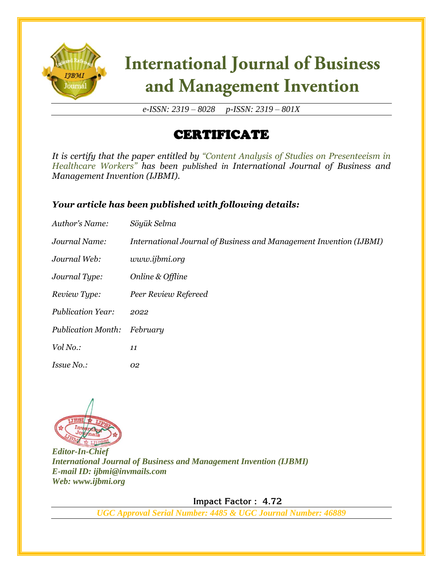

# **International Journal of Business** and Management Invention

*e-ISSN: 2319 – 8028 p-ISSN: 2319 – 801X*

### CERTIFICATE

*It is certify that the paper entitled by "Content Analysis of Studies on Presenteeism in Healthcare Workers" has been published in International Journal of Business and Management Invention (IJBMI).*

#### *Your article has been published with following details:*

| Author's Name:            | Söyük Selma                                                        |
|---------------------------|--------------------------------------------------------------------|
| Journal Name:             | International Journal of Business and Management Invention (IJBMI) |
| Journal Web:              | www.ijbmi.org                                                      |
| Journal Type:             | Online & Offline                                                   |
| Review Type:              | Peer Review Refereed                                               |
| <b>Publication Year:</b>  | 2022                                                               |
| <b>Publication Month:</b> | February                                                           |
| Vol No.:                  | 11                                                                 |
| <i>Issue No.:</i>         | 02                                                                 |



*Editor-In-Chief International Journal of Business and Management Invention (IJBMI) E-mail ID: ijbmi@invmails.com Web: www.ijbmi.org*

 **Impact Factor : 4.72** 

*UGC Approval Serial Number: 4485 & UGC Journal Number: 46889*